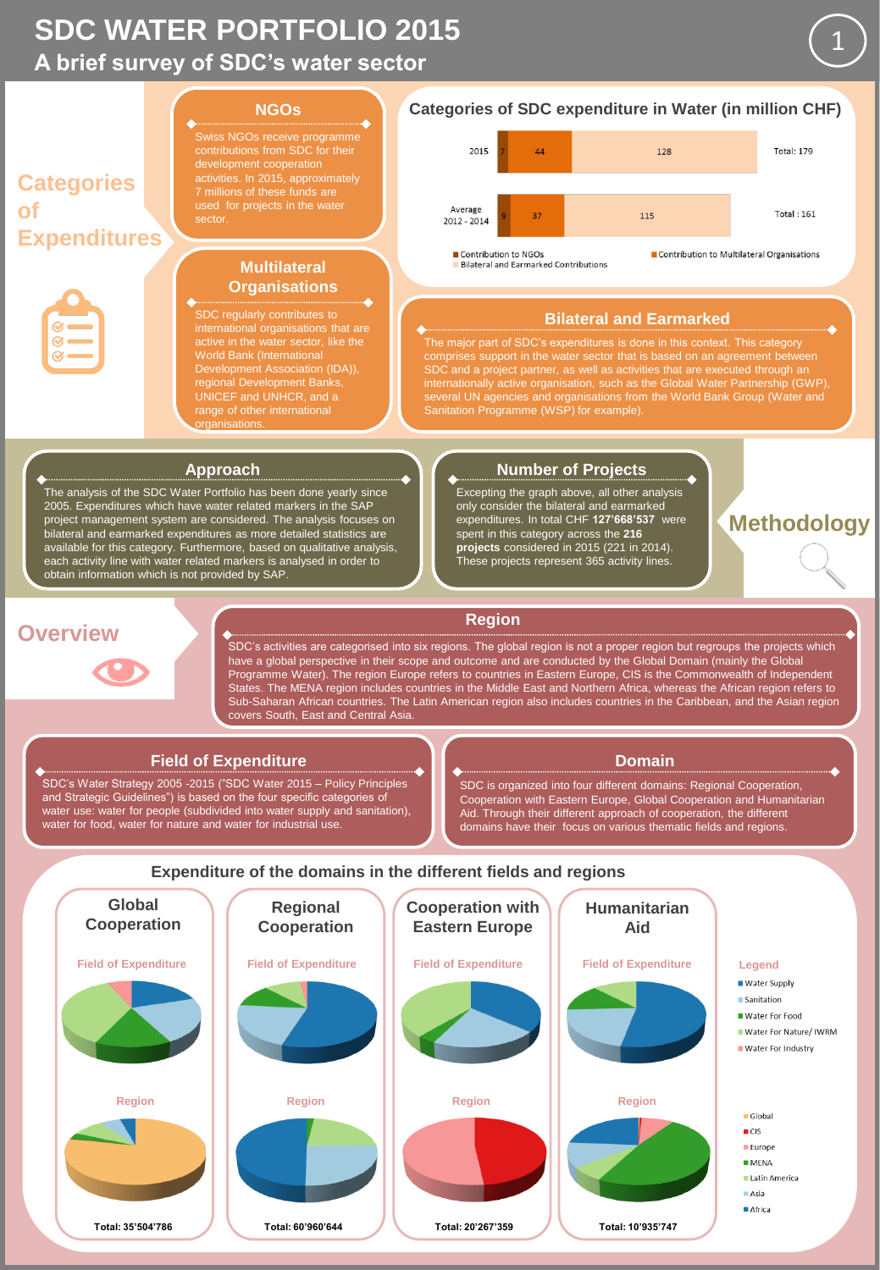# **A brief survey of SDC's water sector SDC WATER PORTFOLIO 2015**



The analysis of the SDC Water Portfolio has been done yearly since 2005. Expenditures which have water related markers in the SAP project management system are considered. The analysis focuses on bilateral and earmarked expenditures as more detailed statistics are available for this category. Furthermore, based on qualitative analysis, each activity line with water related markers is analysed in order to obtain information which is not provided by SAP.

#### **Approach Number of Projects**

Excepting the graph above, all other analysis only consider the bilateral and earmarked expenditures. In total CHF **127'668'537** were spent in this category across the **216 projects** considered in 2015 (221 in 2014). These projects represent 365 activity lines.

**Methodology**

1

## **Overview**



### **Region**

SDC's activities are categorised into six regions. The global region is not a proper region but regroups the projects which have a global perspective in their scope and outcome and are conducted by the Global Domain (mainly the Global Programme Water). The region Europe refers to countries in Eastern Europe, CIS is the Commonwealth of Independent States. The MENA region includes countries in the Middle East and Northern Africa, whereas the African region refers to Sub-Saharan African countries. The Latin American region also includes countries in the Caribbean, and the Asian region covers South, East and Central Asia.

#### **Field of Expenditure**

SDC's Water Strategy 2005 -2015 ("SDC Water 2015 – Policy Principles and Strategic Guidelines") is based on the four specific categories of water use: water for people (subdivided into water supply and sanitation), water for food, water for nature and water for industrial use.

## **Domain**

SDC is organized into four different domains: Regional Cooperation, Cooperation with Eastern Europe, Global Cooperation and Humanitarian Aid. Through their different approach of cooperation, the different domains have their focus on various thematic fields and regions.

## **Expenditure of the domains in the different fields and regions**